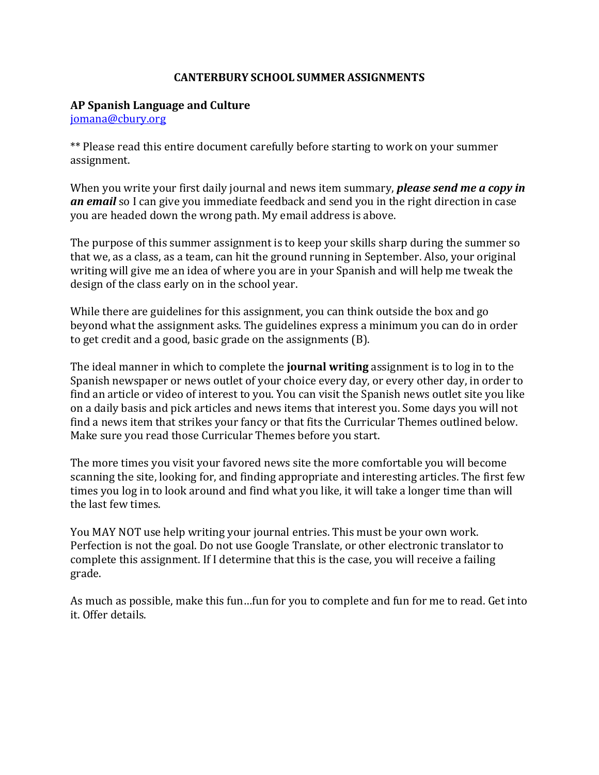### **CANTERBURY SCHOOL SUMMER ASSIGNMENTS**

#### **AP Spanish Language and Culture**

[jomana@cbury.org](mailto:jomana@cbury.org) 

\*\* Please read this entire document carefully before starting to work on your summer assignment.

When you write your first daily journal and news item summary, *please send me a copy in an email* so I can give you immediate feedback and send you in the right direction in case you are headed down the wrong path. My email address is above.

The purpose of this summer assignment is to keep your skills sharp during the summer so that we, as a class, as a team, can hit the ground running in September. Also, your original writing will give me an idea of where you are in your Spanish and will help me tweak the design of the class early on in the school year.

While there are guidelines for this assignment, you can think outside the box and go beyond what the assignment asks. The guidelines express a minimum you can do in order to get credit and a good, basic grade on the assignments (B).

The ideal manner in which to complete the **journal writing** assignment is to log in to the Spanish newspaper or news outlet of your choice every day, or every other day, in order to find an article or video of interest to you. You can visit the Spanish news outlet site you like on a daily basis and pick articles and news items that interest you. Some days you will not find a news item that strikes your fancy or that fits the Curricular Themes outlined below. Make sure you read those Curricular Themes before you start.

The more times you visit your favored news site the more comfortable you will become scanning the site, looking for, and finding appropriate and interesting articles. The first few times you log in to look around and find what you like, it will take a longer time than will the last few times.

You MAY NOT use help writing your journal entries. This must be your own work. Perfection is not the goal. Do not use Google Translate, or other electronic translator to complete this assignment. If I determine that this is the case, you will receive a failing grade.

As much as possible, make this fun…fun for you to complete and fun for me to read. Get into it. Offer details.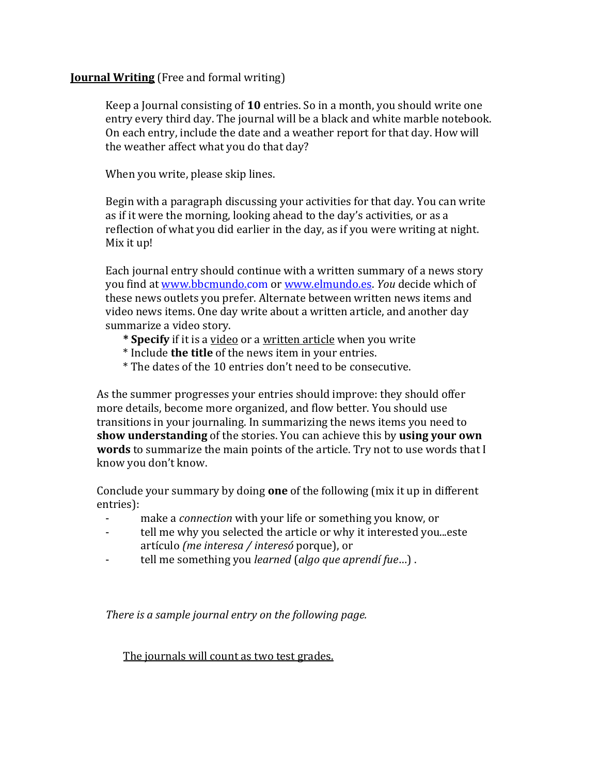### **Journal Writing** (Free and formal writing)

Keep a Journal consisting of **10** entries. So in a month, you should write one entry every third day. The journal will be a black and white marble notebook. On each entry, include the date and a weather report for that day. How will the weather affect what you do that day?

When you write, please skip lines.

Begin with a paragraph discussing your activities for that day. You can write as if it were the morning, looking ahead to the day's activities, or as a reflection of what you did earlier in the day, as if you were writing at night. Mix it up!

Each journal entry should continue with a written summary of a news story you find at [www.bbcmundo.com](http://www.bbcmundo.com/) or [www.elmundo.es.](http://www.elmundo.es/) *You* decide which of these news outlets you prefer. Alternate between written news items and video news items. One day write about a written article, and another day summarize a video story.

- **\* Specify** if it is a video or a written article when you write
- \* Include **the title** of the news item in your entries.
- \* The dates of the 10 entries don't need to be consecutive.

As the summer progresses your entries should improve: they should offer more details, become more organized, and flow better. You should use transitions in your journaling. In summarizing the news items you need to **show understanding** of the stories. You can achieve this by **using your own words** to summarize the main points of the article. Try not to use words that I know you don't know.

Conclude your summary by doing **one** of the following (mix it up in different entries):<br>-

- make a *connection* with your life or something you know, or
- tell me why you selected the article or why it interested you...este artículo *(me interesa / interesó* porque), or
- tell me something you *learned* (*algo que aprendí fue*…) .

*There is a sample journal entry on the following page.* 

The journals will count as two test grades.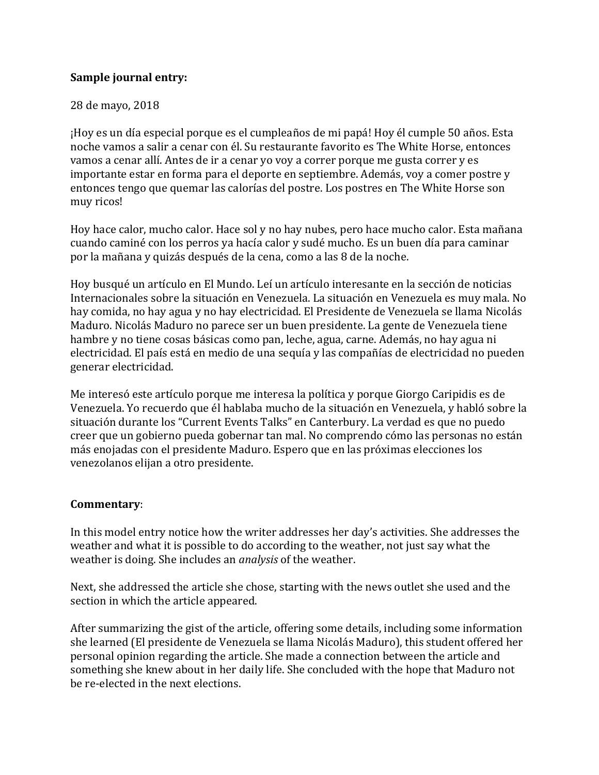## **Sample journal entry:**

## 28 de mayo, 2018

¡Hoy es un día especial porque es el cumpleaños de mi papá! Hoy él cumple 50 años. Esta noche vamos a salir a cenar con él. Su restaurante favorito es The White Horse, entonces vamos a cenar allí. Antes de ir a cenar yo voy a correr porque me gusta correr y es importante estar en forma para el deporte en septiembre. Además, voy a comer postre y entonces tengo que quemar las calorías del postre. Los postres en The White Horse son muy ricos!

Hoy hace calor, mucho calor. Hace sol y no hay nubes, pero hace mucho calor. Esta mañana cuando caminé con los perros ya hacía calor y sudé mucho. Es un buen día para caminar por la mañana y quizás después de la cena, como a las 8 de la noche.

Hoy busqué un artículo en El Mundo. Leí un artículo interesante en la sección de noticias Internacionales sobre la situación en Venezuela. La situación en Venezuela es muy mala. No hay comida, no hay agua y no hay electricidad. El Presidente de Venezuela se llama Nicolás Maduro. Nicolás Maduro no parece ser un buen presidente. La gente de Venezuela tiene hambre y no tiene cosas básicas como pan, leche, agua, carne. Además, no hay agua ni electricidad. El país está en medio de una sequía y las compañías de electricidad no pueden generar electricidad.

Me interesó este artículo porque me interesa la política y porque Giorgo Caripidis es de Venezuela. Yo recuerdo que él hablaba mucho de la situación en Venezuela, y habló sobre la situación durante los "Current Events Talks" en Canterbury. La verdad es que no puedo creer que un gobierno pueda gobernar tan mal. No comprendo cómo las personas no están más enojadas con el presidente Maduro. Espero que en las próximas elecciones los venezolanos elijan a otro presidente.

## **Commentary**:

In this model entry notice how the writer addresses her day's activities. She addresses the weather and what it is possible to do according to the weather, not just say what the weather is doing. She includes an *analysis* of the weather.

Next, she addressed the article she chose, starting with the news outlet she used and the section in which the article appeared.

After summarizing the gist of the article, offering some details, including some information she learned (El presidente de Venezuela se llama Nicolás Maduro), this student offered her personal opinion regarding the article. She made a connection between the article and something she knew about in her daily life. She concluded with the hope that Maduro not be re-elected in the next elections.